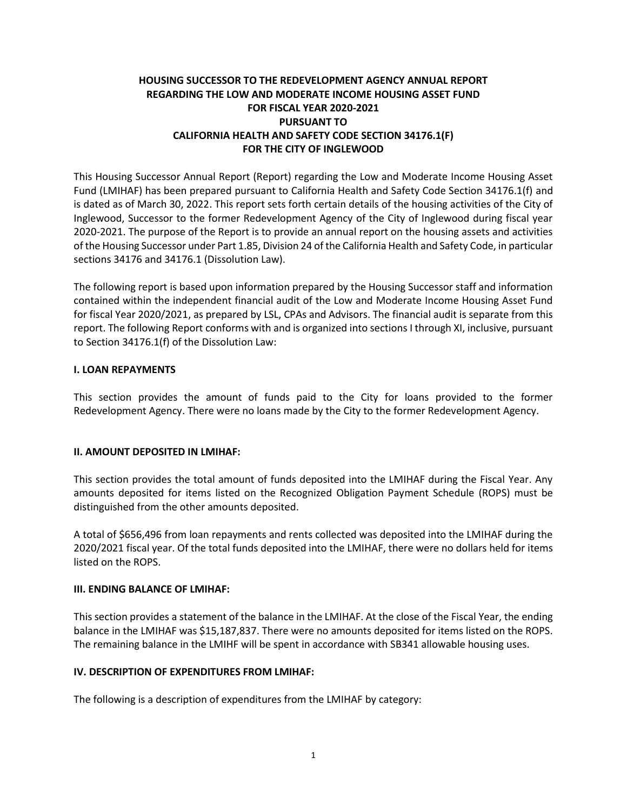# **HOUSING SUCCESSOR TO THE REDEVELOPMENT AGENCY ANNUAL REPORT REGARDING THE LOW AND MODERATE INCOME HOUSING ASSET FUND FOR FISCAL YEAR 2020-2021 PURSUANT TO CALIFORNIA HEALTH AND SAFETY CODE SECTION 34176.1(F) FOR THE CITY OF INGLEWOOD**

This Housing Successor Annual Report (Report) regarding the Low and Moderate Income Housing Asset Fund (LMIHAF) has been prepared pursuant to California Health and Safety Code Section 34176.1(f) and is dated as of March 30, 2022. This report sets forth certain details of the housing activities of the City of Inglewood, Successor to the former Redevelopment Agency of the City of Inglewood during fiscal year 2020-2021. The purpose of the Report is to provide an annual report on the housing assets and activities of the Housing Successor under Part 1.85, Division 24 of the California Health and Safety Code, in particular sections 34176 and 34176.1 (Dissolution Law).

The following report is based upon information prepared by the Housing Successor staff and information contained within the independent financial audit of the Low and Moderate Income Housing Asset Fund for fiscal Year 2020/2021, as prepared by LSL, CPAs and Advisors. The financial audit is separate from this report. The following Report conforms with and is organized into sections I through XI, inclusive, pursuant to Section 34176.1(f) of the Dissolution Law:

### **I. LOAN REPAYMENTS**

This section provides the amount of funds paid to the City for loans provided to the former Redevelopment Agency. There were no loans made by the City to the former Redevelopment Agency.

### **II. AMOUNT DEPOSITED IN LMIHAF:**

This section provides the total amount of funds deposited into the LMIHAF during the Fiscal Year. Any amounts deposited for items listed on the Recognized Obligation Payment Schedule (ROPS) must be distinguished from the other amounts deposited.

A total of \$656,496 from loan repayments and rents collected was deposited into the LMIHAF during the 2020/2021 fiscal year. Of the total funds deposited into the LMIHAF, there were no dollars held for items listed on the ROPS.

#### **III. ENDING BALANCE OF LMIHAF:**

This section provides a statement of the balance in the LMIHAF. At the close of the Fiscal Year, the ending balance in the LMIHAF was \$15,187,837. There were no amounts deposited for items listed on the ROPS. The remaining balance in the LMIHF will be spent in accordance with SB341 allowable housing uses.

### **IV. DESCRIPTION OF EXPENDITURES FROM LMIHAF:**

The following is a description of expenditures from the LMIHAF by category: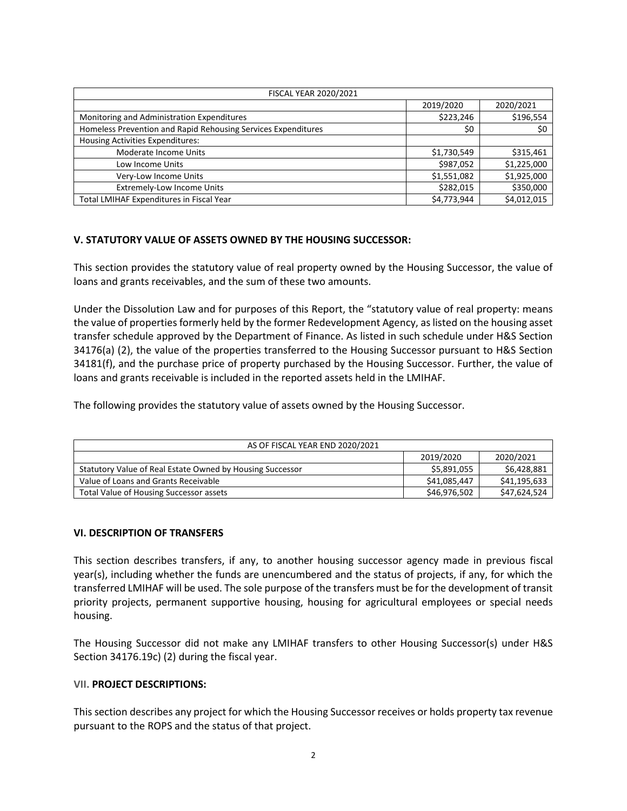| <b>FISCAL YEAR 2020/2021</b>                                  |             |             |  |  |
|---------------------------------------------------------------|-------------|-------------|--|--|
|                                                               | 2019/2020   | 2020/2021   |  |  |
| Monitoring and Administration Expenditures                    | \$223,246   | \$196,554   |  |  |
| Homeless Prevention and Rapid Rehousing Services Expenditures | \$0         | \$0         |  |  |
| <b>Housing Activities Expenditures:</b>                       |             |             |  |  |
| Moderate Income Units                                         | \$1,730,549 | \$315,461   |  |  |
| Low Income Units                                              | \$987,052   | \$1,225,000 |  |  |
| Very-Low Income Units                                         | \$1,551,082 | \$1,925,000 |  |  |
| <b>Extremely-Low Income Units</b>                             | \$282,015   | \$350,000   |  |  |
| Total LMIHAF Expenditures in Fiscal Year                      | \$4,773,944 | \$4,012,015 |  |  |

#### **V. STATUTORY VALUE OF ASSETS OWNED BY THE HOUSING SUCCESSOR:**

This section provides the statutory value of real property owned by the Housing Successor, the value of loans and grants receivables, and the sum of these two amounts.

Under the Dissolution Law and for purposes of this Report, the "statutory value of real property: means the value of properties formerly held by the former Redevelopment Agency, as listed on the housing asset transfer schedule approved by the Department of Finance. As listed in such schedule under H&S Section 34176(a) (2), the value of the properties transferred to the Housing Successor pursuant to H&S Section 34181(f), and the purchase price of property purchased by the Housing Successor. Further, the value of loans and grants receivable is included in the reported assets held in the LMIHAF.

The following provides the statutory value of assets owned by the Housing Successor.

| AS OF FISCAL YEAR END 2020/2021                           |              |              |  |  |
|-----------------------------------------------------------|--------------|--------------|--|--|
|                                                           | 2019/2020    | 2020/2021    |  |  |
| Statutory Value of Real Estate Owned by Housing Successor | \$5,891,055  | \$6,428,881  |  |  |
| Value of Loans and Grants Receivable                      | \$41,085,447 | \$41,195,633 |  |  |
| Total Value of Housing Successor assets                   | \$46,976,502 | \$47,624,524 |  |  |

#### **VI. DESCRIPTION OF TRANSFERS**

This section describes transfers, if any, to another housing successor agency made in previous fiscal year(s), including whether the funds are unencumbered and the status of projects, if any, for which the transferred LMIHAF will be used. The sole purpose of the transfers must be for the development of transit priority projects, permanent supportive housing, housing for agricultural employees or special needs housing.

The Housing Successor did not make any LMIHAF transfers to other Housing Successor(s) under H&S Section 34176.19c) (2) during the fiscal year.

#### **VII. PROJECT DESCRIPTIONS:**

This section describes any project for which the Housing Successor receives or holds property tax revenue pursuant to the ROPS and the status of that project.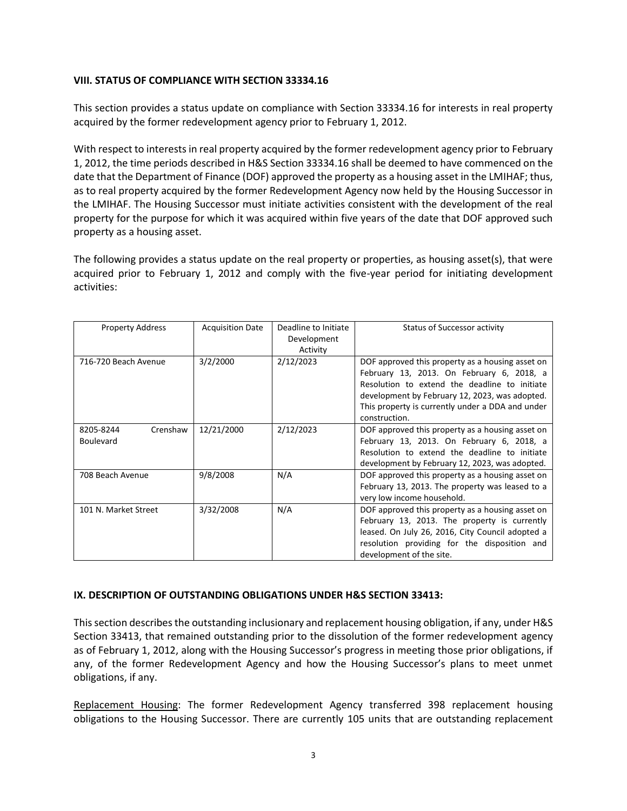### **VIII. STATUS OF COMPLIANCE WITH SECTION 33334.16**

This section provides a status update on compliance with Section 33334.16 for interests in real property acquired by the former redevelopment agency prior to February 1, 2012.

With respect to interests in real property acquired by the former redevelopment agency prior to February 1, 2012, the time periods described in H&S Section 33334.16 shall be deemed to have commenced on the date that the Department of Finance (DOF) approved the property as a housing asset in the LMIHAF; thus, as to real property acquired by the former Redevelopment Agency now held by the Housing Successor in the LMIHAF. The Housing Successor must initiate activities consistent with the development of the real property for the purpose for which it was acquired within five years of the date that DOF approved such property as a housing asset.

The following provides a status update on the real property or properties, as housing asset(s), that were acquired prior to February 1, 2012 and comply with the five-year period for initiating development activities:

| <b>Property Address</b>                   | <b>Acquisition Date</b> | Deadline to Initiate<br>Development<br>Activity | Status of Successor activity                                                                                                                                                                                                                                          |
|-------------------------------------------|-------------------------|-------------------------------------------------|-----------------------------------------------------------------------------------------------------------------------------------------------------------------------------------------------------------------------------------------------------------------------|
| 716-720 Beach Avenue                      | 3/2/2000                | 2/12/2023                                       | DOF approved this property as a housing asset on<br>February 13, 2013. On February 6, 2018, a<br>Resolution to extend the deadline to initiate<br>development by February 12, 2023, was adopted.<br>This property is currently under a DDA and under<br>construction. |
| 8205-8244<br>Crenshaw<br><b>Boulevard</b> | 12/21/2000              | 2/12/2023                                       | DOF approved this property as a housing asset on<br>February 13, 2013. On February 6, 2018, a<br>Resolution to extend the deadline to initiate<br>development by February 12, 2023, was adopted.                                                                      |
| 708 Beach Avenue                          | 9/8/2008                | N/A                                             | DOF approved this property as a housing asset on<br>February 13, 2013. The property was leased to a<br>very low income household.                                                                                                                                     |
| 101 N. Market Street                      | 3/32/2008               | N/A                                             | DOF approved this property as a housing asset on<br>February 13, 2013. The property is currently<br>leased. On July 26, 2016, City Council adopted a<br>resolution providing for the disposition and<br>development of the site.                                      |

### **IX. DESCRIPTION OF OUTSTANDING OBLIGATIONS UNDER H&S SECTION 33413:**

This section describes the outstanding inclusionary and replacement housing obligation, if any, under H&S Section 33413, that remained outstanding prior to the dissolution of the former redevelopment agency as of February 1, 2012, along with the Housing Successor's progress in meeting those prior obligations, if any, of the former Redevelopment Agency and how the Housing Successor's plans to meet unmet obligations, if any.

Replacement Housing: The former Redevelopment Agency transferred 398 replacement housing obligations to the Housing Successor. There are currently 105 units that are outstanding replacement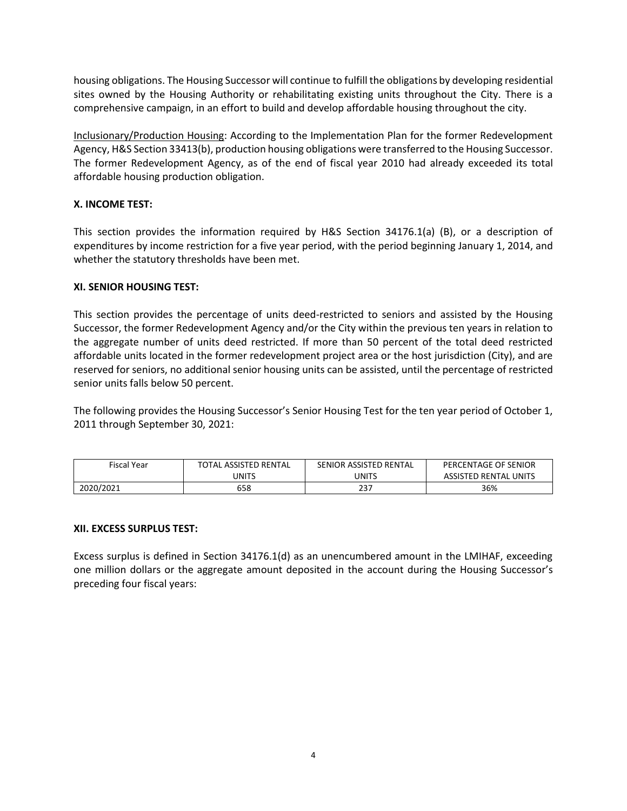housing obligations. The Housing Successor will continue to fulfill the obligations by developing residential sites owned by the Housing Authority or rehabilitating existing units throughout the City. There is a comprehensive campaign, in an effort to build and develop affordable housing throughout the city.

Inclusionary/Production Housing: According to the Implementation Plan for the former Redevelopment Agency, H&S Section 33413(b), production housing obligations were transferred to the Housing Successor. The former Redevelopment Agency, as of the end of fiscal year 2010 had already exceeded its total affordable housing production obligation.

## **X. INCOME TEST:**

This section provides the information required by H&S Section 34176.1(a) (B), or a description of expenditures by income restriction for a five year period, with the period beginning January 1, 2014, and whether the statutory thresholds have been met.

### **XI. SENIOR HOUSING TEST:**

This section provides the percentage of units deed-restricted to seniors and assisted by the Housing Successor, the former Redevelopment Agency and/or the City within the previous ten years in relation to the aggregate number of units deed restricted. If more than 50 percent of the total deed restricted affordable units located in the former redevelopment project area or the host jurisdiction (City), and are reserved for seniors, no additional senior housing units can be assisted, until the percentage of restricted senior units falls below 50 percent.

The following provides the Housing Successor's Senior Housing Test for the ten year period of October 1, 2011 through September 30, 2021:

| Fiscal Year | <b>TOTAL ASSISTED RENTAL</b> | SENIOR ASSISTED RENTAL | PERCENTAGE OF SENIOR  |
|-------------|------------------------------|------------------------|-----------------------|
|             | <b>JNITS</b>                 | <b>UNITS</b>           | ASSISTED RENTAL UNITS |
| 2020/2021   | 658                          | 237                    | 36%                   |

### **XII. EXCESS SURPLUS TEST:**

Excess surplus is defined in Section 34176.1(d) as an unencumbered amount in the LMIHAF, exceeding one million dollars or the aggregate amount deposited in the account during the Housing Successor's preceding four fiscal years: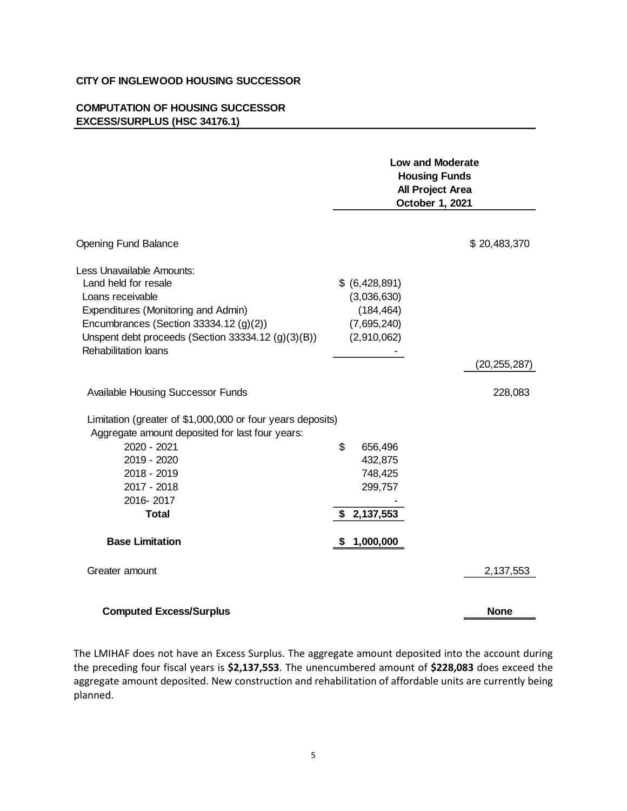#### **CITY OF INGLEWOOD HOUSING SUCCESSOR**

## **COMPUTATION OF HOUSING SUCCESSOR EXCESS/SURPLUS (HSC 34176.1)**

| <b>Opening Fund Balance</b>                                |    | <b>Low and Moderate</b><br><b>Housing Funds</b><br>All Project Area<br>October 1, 2021 |                |  |
|------------------------------------------------------------|----|----------------------------------------------------------------------------------------|----------------|--|
|                                                            |    |                                                                                        | \$20,483,370   |  |
|                                                            |    |                                                                                        |                |  |
| Less Unavailable Amounts:                                  |    |                                                                                        |                |  |
| Land held for resale                                       |    | \$ (6,428,891)                                                                         |                |  |
| Loans receivable                                           |    | (3,036,630)                                                                            |                |  |
| Expenditures (Monitoring and Admin)                        |    | (184, 464)                                                                             |                |  |
| Encumbrances (Section 33334.12 $(g)(2)$ )                  |    | (7,695,240)                                                                            |                |  |
| Unspent debt proceeds (Section 33334.12 (g)(3)(B))         |    | (2,910,062)                                                                            |                |  |
| <b>Rehabilitation loans</b>                                |    |                                                                                        |                |  |
|                                                            |    |                                                                                        | (20, 255, 287) |  |
| Available Housing Successor Funds                          |    |                                                                                        | 228,083        |  |
|                                                            |    |                                                                                        |                |  |
| Limitation (greater of \$1,000,000 or four years deposits) |    |                                                                                        |                |  |
| Aggregate amount deposited for last four years:            |    |                                                                                        |                |  |
| 2020 - 2021                                                | \$ | 656,496                                                                                |                |  |
| 2019 - 2020                                                |    | 432,875                                                                                |                |  |
| 2018 - 2019                                                |    | 748,425                                                                                |                |  |
| 2017 - 2018                                                |    | 299,757                                                                                |                |  |
| 2016-2017                                                  |    |                                                                                        |                |  |
| <b>Total</b>                                               | \$ | 2,137,553                                                                              |                |  |
| <b>Base Limitation</b>                                     | S  | 1,000,000                                                                              |                |  |
| Greater amount                                             |    |                                                                                        | 2,137,553      |  |
| <b>Computed Excess/Surplus</b>                             |    |                                                                                        | <b>None</b>    |  |

The LMIHAF does not have an Excess Surplus. The aggregate amount deposited into the account during the preceding four fiscal years is **\$2,137,553**. The unencumbered amount of **\$228,083** does exceed the aggregate amount deposited. New construction and rehabilitation of affordable units are currently being planned.